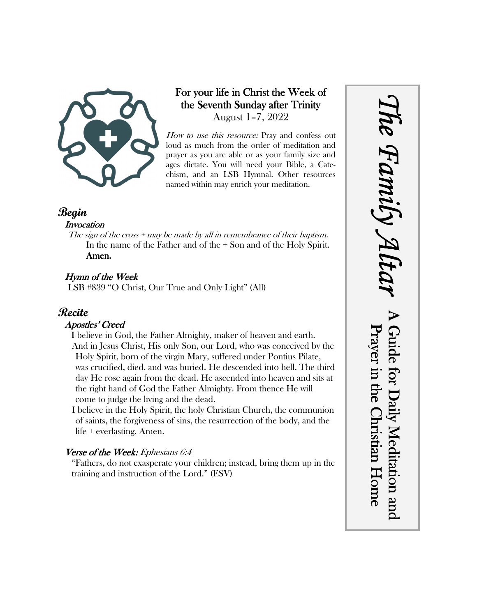

## For your life in Christ the Week of the Seventh Sunday after Trinity August 1–7, 2022

How to use this resource: Pray and confess out loud as much from the order of meditation and prayer as you are able or as your family size and ages dictate. You will need your Bible, a Catechism, and an LSB Hymnal. Other resources named within may enrich your meditation.

### **Begin**

#### **Invocation**

The sign of the cross  $+$  may be made by all in remembrance of their baptism. In the name of the Father and of the + Son and of the Holy Spirit. Amen.

### Hymn of the Week

LSB #839 "O Christ, Our True and Only Light" (All)

# **Recite**

#### Apostles' Creed

I believe in God, the Father Almighty, maker of heaven and earth. And in Jesus Christ, His only Son, our Lord, who was conceived by the Holy Spirit, born of the virgin Mary, suffered under Pontius Pilate, was crucified, died, and was buried. He descended into hell. The third day He rose again from the dead. He ascended into heaven and sits at the right hand of God the Father Almighty. From thence He will come to judge the living and the dead.

I believe in the Holy Spirit, the holy Christian Church, the communion of saints, the forgiveness of sins, the resurrection of the body, and the life + everlasting. Amen.

#### Verse of the Week: Ephesians 6:4

"Fathers, do not exasperate your children; instead, bring them up in the training and instruction of the Lord." (ESV)

*The Family Altar* he Family A A Guide for Daily Meditation and Prayer in the Christian Home Guide for Daily Meditation and Prayer in the Christian Home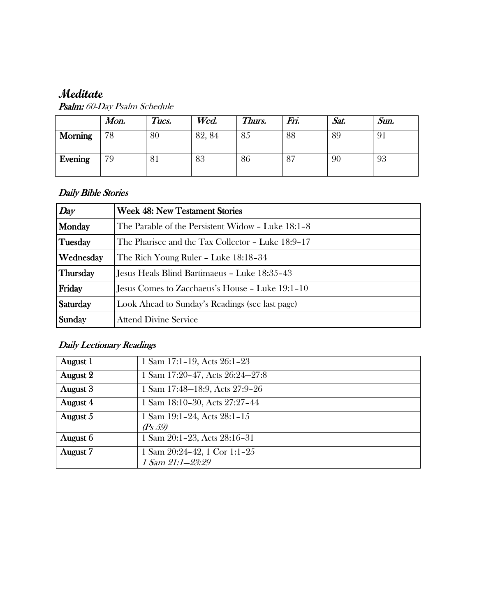# **Meditate**

|                | Mon. | Tues. | Wed.   | Thurs. | Fri. | Sat. | Sun. |
|----------------|------|-------|--------|--------|------|------|------|
| <b>Morning</b> | 78   | 80    | 82, 84 | 85     | 88   | 89   | 91   |
| Evening        | 79   | ΟI    | 83     | 86     | 87   | 90   | 93   |

Psalm: 60-Day Psalm Schedule

#### Daily Bible Stories

| Day       | <b>Week 48: New Testament Stories</b>             |  |  |
|-----------|---------------------------------------------------|--|--|
| Monday    | The Parable of the Persistent Widow - Luke 18:1-8 |  |  |
| Tuesday   | The Pharisee and the Tax Collector - Luke 18:9-17 |  |  |
| Wednesday | The Rich Young Ruler – Luke 18:18–34              |  |  |
| Thursday  | Jesus Heals Blind Bartimaeus - Luke 18:35-43      |  |  |
| Friday    | Jesus Comes to Zacchaeus's House - Luke 19:1-10   |  |  |
| Saturday  | Look Ahead to Sunday's Readings (see last page)   |  |  |
| Sunday    | <b>Attend Divine Service</b>                      |  |  |

# Daily Lectionary Readings

| August 1 | 1 Sam 17:1-19, Acts 26:1-23      |
|----------|----------------------------------|
| August 2 | 1 Sam 17:20-47, Acts 26:24-27:8  |
| August 3 | 1 Sam 17:48-18:9, Acts 27:9-26   |
| August 4 | 1 Sam 18:10-30, Acts 27:27-44    |
| August 5 | 1 Sam $19:1-24$ , Acts $28:1-15$ |
|          | (Ps 59)                          |
| August 6 | 1 Sam 20:1-23, Acts 28:16-31     |
| August 7 | 1 Sam $20:24-42$ , 1 Cor 1:1-25  |
|          | 1 Sam 21:1-23:29                 |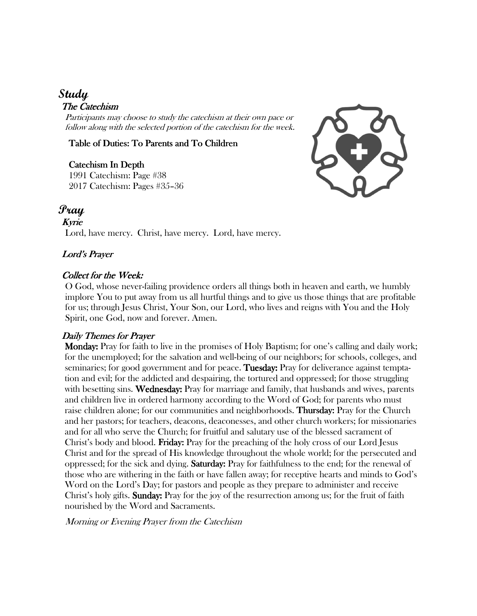# **Study**

#### The Catechism

Participants may choose to study the catechism at their own pace or follow along with the selected portion of the catechism for the week.

Table of Duties: To Parents and To Children

Catechism In Depth Catechism 1991 Catechism: Page #38 2017 Catechism: Pages #35–36



## **Pray**

Kyrie Lord, have mercy. Christ, have mercy. Lord, have mercy.

#### Lord's Prayer

#### Collect for the Week:

O God, whose never-failing providence orders all things both in heaven and earth, we humbly implore You to put away from us all hurtful things and to give us those things that are profitable for us; through Jesus Christ, Your Son, our Lord, who lives and reigns with You and the Holy Spirit, one God, now and forever. Amen.

#### Daily Themes for Prayer

 Monday: Monday: Pray for faith to live in the promises of Holy Baptism; for one's calling and daily work; for the unemployed; for the salvation and well-being of our neighbors; for schools, colleges, and seminaries; for good government and for peace. Tuesday: Pray for deliverance against temptation and evil; for the addicted and despairing, the tortured and oppressed; for those struggling with besetting sins. Wednesday: Pray for marriage and family, that husbands and wives, parents and children live in ordered harmony according to the Word of God; for parents who must raise children alone; for our communities and neighborhoods. **Thursday:** Pray for the Church and her pastors; for teachers, deacons, deaconesses, and other church workers; for missionaries and for all who serve the Church; for fruitful and salutary use of the blessed sacrament of Christ's body and blood. **Friday:** Pray for the preaching of the holy cross of our Lord Jesus Christ and for the spread of His knowledge throughout the whole world; for the persecuted and oppressed; for the sick and dying. **Saturday:** Pray for faithfulness to the end; for the renewal of those who are withering in the faith or have fallen away; for receptive hearts and minds to God's Word on the Lord's Day; for pastors and people as they prepare to administer and receive Christ's holy gifts. Sunday: Pray for the joy of the resurrection among us; for the fruit of faith nourished by the Word and Sacraments.

Morning or Evening Prayer from the Catechism